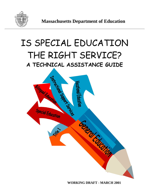

# IS SPECIAL EDUCATION THE RIGHT SERVICE? **A TECHNICAL ASSISTANCE GUIDE**



**WORKING DRAFT - MARCH 2001**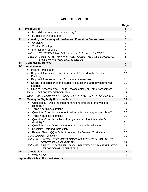|                |                                                                                                 | <u>Page</u>    |
|----------------|-------------------------------------------------------------------------------------------------|----------------|
| $\mathbf{I}$ . | <b>Introduction</b>                                                                             | 1              |
|                | How did we get where we are today?                                                              | 1              |
|                | Purpose of this document<br>٠                                                                   | $\overline{2}$ |
| Ш.             | Increasing the Capacity of the General Education Environment                                    | 3              |
|                | Overview<br>٠                                                                                   | 3              |
|                | <b>Student Development</b><br>٠                                                                 | 4              |
|                | <b>Instructional Support</b><br>٠                                                               | 4              |
|                | Table 1: INSTRUCTIONAL SUPPORT INTERVENTION PROCESS                                             | $\overline{7}$ |
|                | Table 2: QUESTIONS THAT MAY HELP GUIDE THE ASSESSMENT OF<br><b>STUDENT INSTRUCTIONAL NEEDS</b>  | 8              |
| III.           | <b>Considering Referral</b>                                                                     | 9              |
| IV.            | <b>Assessment</b>                                                                               | 9              |
|                | <b>Parent Participation</b><br>٠                                                                | 9              |
|                | Required Assessment: An Assessment Related to the Suspected<br>٠<br><b>Disability</b>           | 10             |
|                | Required Assessment: An Educational Assessment<br>٠                                             | 11             |
|                | Narrative description of the student's educational and developmental<br>٠<br>potential          | 11             |
|                | Optional Assessments: Health, Psychological, or Home Assessment                                 | 12             |
|                | Table 3: DISABILITY DEFINITIONS                                                                 | 13             |
|                | Table 4: ASSESSMENT FACTORS RELATED TO TYPE OF DISABILITY                                       | 15             |
| ٧.             | <b>Making an Eligibility Determination</b>                                                      | 18             |
|                | Question #1: Does the student have one or more of the types of<br>$\blacksquare$<br>disability? | 18             |
|                | <b>Three Year Reevaluations</b><br>٠                                                            | 19             |
|                | Question #2(a): Is the student making effective progress in school?<br>٠                        | 20             |
|                | <b>Three Year Reevaluations</b><br>٠                                                            | 21             |
|                | Question #2(b): Is the lack of progress a result of the student's<br>٠                          |                |
|                | disability?<br>Question #2(c): Does the student require special education<br>٠                  | 21<br>21       |
|                | <b>Specially Designed Instruction</b><br>٠                                                      | 21             |
|                | Related Service(s) in Order to Access the General Curriculum<br>п                               | 22             |
|                | <b>ED-1 Eligibility Flowchart</b>                                                               | 23             |
|                | Table 5A: SPECIAL CONSIDERATIONS RELATED TO DISABILITY IN                                       |                |
|                | <b>DETERMINING ELIGIBILITY</b>                                                                  | 24             |
|                | Table 5B: SPECIAL CONSIDERATIONS RELATED TO STUDENTS WITH<br><b>CERTAIN CHARACTERISTICS</b>     | 28             |
| VI.            | <b>Conclusion</b>                                                                               | 30             |
|                | What's next?                                                                                    | 30             |
|                | Annondiy Dicobility Work Croups                                                                 |                |

# **TABLE OF CONTENTS**

**Appendix – Disability Work Groups**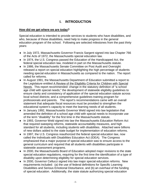# **I. INTRODUCTION**

# **How did we get where we are today?**

Special education is intended to provide services to students who have disabilities, and who, because of those disabilities, need help to make progress in the general education program of the school. Following are selected milestones from the past thirty years:

- ♦ In July 1972, Massachusetts Governor Francis Sargent signed into law Chapter 766 of the Acts of 1972, the Massachusetts special education law.
- ♦ In 1974, the U.S. Congress passed the Education of the Handicapped Act, the federal special education law, modeled in part on the Massachusetts statute.
- ♦ In 1986, the Massachusetts Senate Committee on Post Audit and Oversight released a report on special education highlighting the high percentage of students needing special education in Massachusetts as compared to the nation. The report called for reforms.
- ♦ In August 1991, the Massachusetts Department of Education submitted a report to the Legislature entitled A Review of the Eligibility Criteria for Children with Special Needs. This report recommended: change in the statutory definition of "a school age child with special needs;" the development of statewide eligibility guidelines to ensure clarity and consistency of application of the special education statute across local school districts; and a comprehensive guidelines training program for professionals and parents. The report's recommendations came with an overall statement that adequate fiscal resources must be provided to strengthen the educational system's capacity to meet the learning needs of all students.
- ♦ In January 1992, Massachusetts Governor Weld signed into law legislation that amended the definition of a school age child with special needs to incorporate use of the term "disability" for the first time in the Massachusetts statute.
- ♦ In 1993, Governor Weld signed into law the Massachusetts Education Reform Act that required sweeping reforms, statewide accountability measures, and high standard for all students, including students with disabilities. Attached were billions of new dollars added to the state budget for implementation of education reforms.
- ♦ In 1997, the U.S. Congress reauthorized the federal special education law, now called the Individuals with Disabilities Education Act (IDEA). The Congress emphasized that a major purpose of special education was to ensure access to the general curriculum and required that all students with disabilities participate in statewide assessment programs.
- ♦ In 2000, the Massachusetts Board of Education adopted major revisions to the state special education regulations, requiring for the first time the identification of a type of disability upon determining eligibility for special education services.
- ♦ In 2000, Governor Cellucci signed into law major special education reforms. New requirements included: (a) the use of federal definitions for Specific Learning Disabilities and Serious Emotional Disturbance, and (b) an overhaul of the funding of special education. Additionally, the state statute authorizing special education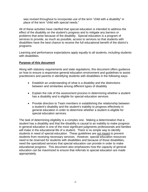was revised throughout to incorporate use of the term "child with a disability" in place of the term "child with special needs."

All of these activities have clarified that special education is intended to address the effect of the disability on the student's progress and to mitigate any barriers or problems that arise because of the disability. Special education is a program of services to provide, as much as possible, access to services so that students with disabilities have the best chance to receive the full educational benefit of the district's programs.

Learning and performance expectations apply equally to all students, including students with disabilities.

# **Purpose of this document**

Along with statutory requirements and state regulations, this document offers guidance on how to ensure a responsive general education environment and guidelines to assist practitioners and parents in identifying students with disabilities in the following ways:

- Establish an understanding of what is a disability and the distinctions between and similarities among different types of disability
- Explain the role of the assessment process in determining whether a student has a disability and is eligible for special education services
- Provide direction to Team members in establishing the relationship between a student's disability and the student's inability to progress effectively in general education in order to determine whether a student is eligible for special education services.

The task of determining eligibility is a complex one. Making a determination that a student has a disability and that the disability is causal to an inability to make progress in general education is one of the most significant judgments professionals and families will make in the educational life of a student. There is no simple way to identify students in need of special education. These guidelines are not meant to prevent students from receiving necessary services. However, special education resources need to be reserved for students with disabilities and because of those disabilities, need the specialized services that special education can provide in order to make educational progress. This document also emphasizes how the capacity of general education can be maximized to ensure that referrals to special education are made appropriately.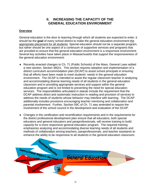# **II. INCREASING THE CAPACITY OF THE GENERAL EDUCATION ENVIRONMENT**

# **Overview**

General education is the door to learning through which all students are expected to enter; it should be the **goal** of every school district to make the general education environment the appropriate placement for all students. Special education should not be a separate program, but rather should be one aspect of a continuum of supportive services and programs that are provided to ensure that the general education environment is a responsive environment. Several key activities have taken place in Massachusetts that support the responsiveness of the general education environment:

- ♦ Recently enacted changes to Ch. 71 (Public Schools) of the Mass. General Laws added a new section, Section 38Q½. This section requires adoption and implementation of a district curriculum accommodation plan (DCAP) to assist school principals in ensuring that all efforts have been made to meet students' needs in the general education environment. The DCAP is intended to assist the regular classroom teacher in analyzing and accommodating diverse learning needs of all students in the general education classroom and in providing appropriate services and support within the general education program and is not limited to preventing the need for special education services. The responsibilities articulated in statute include the requirement that the DCAP address direct and systematic instruction in reading and provision of services to address the needs of students whose behavior may interfere with learning. The DCAP additionally includes provisions encouraging teacher mentoring and collaboration and parental involvement. Further, Section 59C of Ch. 71 was amended to require the involvement of the school council in the development and evaluation of the DCAP.
- ♦ Changes in the certification and recertification requirements and in the requirements for the district professional development plan ensure that all educators, both special educators and general educators and paraprofessionals, will receive training to build capacity for a more responsive general education program. The required training emphasizes analyzing and accommodating diverse learning needs of all students and methods of collaboration among teachers, paraprofessionals, and teacher assistants to enhance the ability to be responsive to all students in the general education classroom.

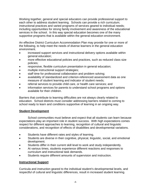Working together, general and special educators can provide professional support to each other to address student learning. Schools can provide a rich curriculum; instructional practices and varied programs of services geared to individual needs; including opportunities for strong family involvement and awareness of the educational services in the school. In this way special education becomes one of the many supportive programs that is available within the general education environment.

An effective District Curriculum Accommodation Plan may provide for one or more of the following, to help meet the needs of diverse learners in the general education environment.

- increased support services and instructional delivery options available within general education;
- more effective educational policies and practices, such as reduced class size policies;
- responsive, flexible curriculum presentation in general education;
- multiple instructional support strategies;
- staff time for professional collaboration and problem solving;
- availability of standardized and criterion-referenced assessment data as one measure of student learning and indicator of student needs;
- referral services to provide child care, or health care services; and
- information services for parents to understand school programs and options available for their children.

Barriers that contribute to learning difficulties are not always clearly related to education. School districts must consider addressing barriers related to coming to school ready to learn and conditions supportive of learning in an ongoing way.

# **Student Development**

School communities must believe and expect that all students can learn because expectations play an important role in student success. With high expectations comes respect for different approaches to learning, recognition of cultural and linguistic considerations, and recognition of effects of disabilities and developmental variations.

- Students have different rates and styles of learning.
- Students are diverse in their cognitive, physical, linguistic, social, and emotional development.
- Students differ in their current skill level to work and study independently.
- At various times, students experience different reactions and responses to curriculum and instructional task demands.
- Students require different amounts of supervision and instruction.

# **Instructional Support**

Curricula and instruction geared to the individual student's developmental levels, and respectful of cultural and linguistic differences, result in increased student learning.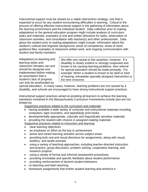Instructional support must be viewed as a viable intervention strategy; one that is expected to occur for any student encountering difficulties in learning. Critical to the process of offering effective instructional support is the gathering of information about the learning environment and the individual student. Data collection prior to making adaptations to the general education program might include analysis of curriculum tasks and materials, examples of oral and written directions for tasks, observation of classroom activities, and consultation with teacher(s) and other professionals. Data about the student prior to making adaptations might include: information about the student's cultural and linguistic background, areas of competence, areas of need, guidance files, examples of classroom written work, and ongoing communication with student and family members.

Adaptations to teaching and learning styles and classroom climates can and should be designed and implemented before making an assumption that a student's lack of progress can only be ameliorated by

We offer one caveat to this assertion, however: If a disability is clearly evident or strongly suspected and known to be causing learning problems, then referral for special education should be made promptly**.** For example: When a student is known to be deaf or hard of hearing, immediate specially designed intervention is the best response.

special education**.** In many cases, however, learning problems are not caused by a disability, and schools are encouraged to have strong instructional support practices.

Instructional support practices aimed at assisting all learners to achieve the learning standards contained in the Massachusetts Curriculum Frameworks include (but are not limited to)

Supportive practices related to the curriculum and materials:

- having available a wide variety of curricular and instructional materials including computers, tape recorders, and taped/large print books
- developmentally appropriate, culturally and linguistically sensitive materials
- providing the student with choices in assigned reading materials
- Supportive practices related to instruction and learning:
- clear learning objectives
- an emphasis on effort as the key to achievement
- active and varied learning activities across subject areas
- providing both oral and visual directions for assignments, along with visual, auditory, and tactile prompts
- using a variety of teaching approaches, including teacher-directed instruction and practice, group discussion, problem solving, cooperative learning, and research projects
- using a variety of formal and informal assessment procedures
- providing immediate and specific feedback about student performance
- providing reinforcement of desired student behaviors
- co-teaching and team teaching
- homework assignments that further student learning and reinforce it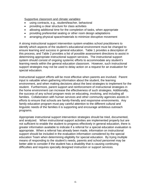Supportive classroom and climate variables:

- using contracts, e.g., student/teacher, behavioral
- providing a clear structure for class activities
- allowing additional time for the completion of tasks, when appropriate
- providing preferential seating or other room design adaptations
- arranging physical space/materials to minimize disruptive movement

A strong instructional support intervention system enables school practitioners to identify which aspects of the student's educational environment must be changed to ensure learning and success in general education. Table 1 provides a description of this process, and Table 2 provides a list of possible assessment directions to assist in determining appropriate instructional support services. The instructional support system should consist of ongoing systemic efforts to accommodate any student's learning needs within the general education classroom. However, such instructional support strategies may not be used to delay action on a request for an evaluation for special education.

Instructional support efforts will be most effective when parents are involved. Parent input is valuable when gathering information about the student, the learning environment, and when making decisions about the best strategies to implement for the student. Furthermore, parent support and reinforcement of instructional strategies in the home environment can increase the effectiveness of such strategies. Additionally, the success of any school program rests on educating, involving, and including all families. Collaboration with human services and other community agencies assists in efforts to ensure that schools are family-friendly and responsive environments. Any family education program must pay careful attention to the different cultural and linguistic needs of the families it is supporting and encourage ambitious outreach programs.

Appropriate instructional support intervention strategies should be tried, documented, and analyzed. When instructional support activities are implemented properly but are not sufficient to enable the student to progress effectively in general education, there is greater information available to indicate if a referral for a special education evaluation is appropriate. When a referral has already been made, information on instructional support should be included in the evaluation information considered by the special education Team when determining eligibility for special education. By trying multiple means of responding to the student's needs, parents and school personnel may be better able to consider if the student has a disability that is causing continuing difficulties and requires specially designed instruction or support services.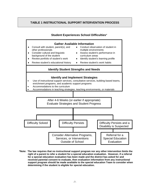# **TABLE 1 INSTRUCTIONAL SUPPORT INTERVENTION PROCESS**

# **Student Experiences School Difficulties**\*



**\*Note: The law requires that no instructional support program nor any other intervention limits the right of a parent to refer a student for a special education evaluation. However, if a referral for a special education evaluation has been made and the district has asked for and received parental consent to evaluate, then evaluation information from any instructional support program should be made available to the special education Team to consider when determining if the student is eligible for special education.**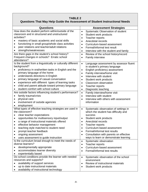# **TABLE 2**

# **Questions That May Help Guide the Assessment of Student Instructional Needs**

| Questions                                                      | <b>Assessment Strategies</b>                        |
|----------------------------------------------------------------|-----------------------------------------------------|
| How does the student perform within/outside of the             | Systematic Observation of student<br>$\bullet$      |
| classroom and in structured and unstructured                   | Student work products<br>$\bullet$                  |
| activities?                                                    | Teacher reports<br>$\bullet$                        |
| mastery of basic academic and social skills                    | Anecdotal records<br>$\bullet$                      |
| functioning in small group/whole class activities<br>$\bullet$ | Curriculum-based assessment<br>$\bullet$            |
| peer relations and teacher/adult relations<br>$\bullet$        | Formal/informal test result<br>$\bullet$            |
| strengths/weaknesses<br>٠                                      | Interview with the student and family<br>$\bullet$  |
| Are there gaps in the student's school history?                | Review of the school history/record<br>$\bullet$    |
| Frequent changes in schools? Erratic school                    | <b>Family interview</b><br>$\bullet$                |
| attendance?                                                    |                                                     |
| Is the student from a linguistically or culturally different   | Language assessment by assessor fluent<br>$\bullet$ |
| background?                                                    | in student's primary language                       |
| proficiency in oral/written tasks in English and the           | English proficiency assessment<br>$\bullet$         |
| primary language of the home                                   | Family interview/home visit<br>$\bullet$            |
| understands directions in English<br>$\bullet$                 | Interview with student<br>$\bullet$                 |
| primary language of casual conversation<br>$\bullet$           | Student work products<br>$\bullet$                  |
| experience with different types of learning tasks<br>٠         | <b>Classroom observation</b><br>$\bullet$           |
| child and parent attitude toward primary language<br>$\bullet$ | Teacher reports<br>$\bullet$                        |
| student comfort with school culture<br>$\bullet$               | Diagnostic teaching<br>$\bullet$                    |
| Are outside factors influencing student's performance?         | Family interview/home visit<br>$\bullet$            |
| family trauma/crisis                                           | Interview with student<br>$\bullet$                 |
| physical care<br>$\bullet$                                     | Interview with others with assessment<br>$\bullet$  |
| involvement of outside agencies<br>$\bullet$                   | information                                         |
| employment<br>$\bullet$                                        |                                                     |
| What types of effective teaching strategies are used in        | Systematic observation of settings in<br>$\bullet$  |
| the classroom?                                                 | which the student has difficulty and                |
| clear teacher expectations                                     | success                                             |
| opportunities for multisensory input/output<br>$\bullet$       | Student work products<br>$\bullet$                  |
| a range of instructional materials offered<br>$\bullet$        | Anecdotal records<br>$\bullet$                      |
| effective behavior management<br>$\bullet$                     | Teacher reports<br>$\bullet$                        |
| teaching style matched to student need                         | Curriculum-based assessment                         |
| prompt teacher feedback<br>$\bullet$                           | Formal/informal test results<br>$\bullet$           |
| ongoing assessment                                             | Consultation with parents on effective              |
| uses assessment to guide instruction                           | ways to learn or demonstrate learning               |
| Is the curriculum broad enough to meet the needs of            | Systematic observation<br>$\bullet$                 |
| diverse learners?                                              | Teacher reports<br>$\bullet$                        |
| developmentally appropriate                                    | Curriculum-based assessment<br>$\bullet$            |
| accommodates learner diversity                                 | Formal/informal test results                        |
| experientially based<br>$\bullet$                              |                                                     |
| Do school conditions provide the learner with needed           | Systematic observation of the school<br>$\bullet$   |
| resources and supports?                                        | environment                                         |
| availability of support services                               | Review of instructional materials<br>$\bullet$      |
| up to date instructional materials                             | Student work products<br>٠                          |
| availability of instructional technology<br>٠                  |                                                     |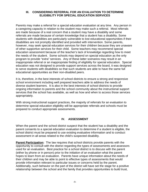# **III. CONSIDERING REFERRAL FOR AN EVALUATION TO DETERMINE ELIGIBILITY FOR SPECIAL EDUCATION SERVICES**

Parents may make a referral for a special education evaluation at any time. Any person in a caregiving capacity in relation to the student may make such a referral. Most referrals are made because of a real concern that a student may have a disability and some referrals are made because of certain knowledge that a student has a disability. Some students with disabilities are particularly vulnerable to lost educational opportunities if their disabilities are not promptly identified and provided with intervention. Some parents, however, may seek special education services for their children because they are unaware of other supportive services for their child. Some teachers may recommend special education assessment because of the teacher's lack of knowledge regarding how to meet the needs of the student. Some schools may depend on special education as the only program to provide "extra" services. Any of these latter scenarios may result in an inappropriate referral or an inappropriate finding of eligibility for special education. Special education was not designed to provide support services across the board, it was designed to serve students with disabilities so that such students are able to have the same full educational opportunities as their non-disabled peers.

It is, therefore, in the best interests of school districts to ensure a strong and responsive school environment including well prepared teachers able to address the needs of diverse student learners. It is also in the best interests of school districts to provide ongoing information to parents and the school community about the instructional support services that the school has available, as well as how and when to access those services appropriately.

With strong instructional support practices, the majority of referrals for an evaluation to determine special education eligibility will be appropriate referrals and schools must be prepared to conduct appropriate assessments.

# **IV. ASSESSMENT**

When the parent and the school district suspect that the student has a disability and the parent consents to a special education evaluation to determine if a student is eligible, the school district must be prepared to use existing evaluative information and to conduct assessment in all areas related to the child's suspected disability.

**Parent Participation:** The law requires that school districts provide parents with the opportunity to consult with the district regarding the types of assessments and assessors used for an evaluation. Best practice for a school district is to discuss with the parent (either by phone or in person) prior to the initiation of an evaluation what the parent hopes to learn from an evaluation. Parents have unique information about the needs of their children and may be able to point to effective types of assessments that would provide information relevant to particular issues or concerns held by the parent. Additionally, such behavior on the part of the district will have set the stage for a positive relationship between the school and the family that provides opportunities to build trust,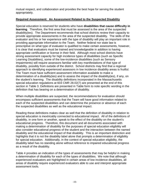mutual respect, and collaboration and provides the best hope for serving the student appropriately.

# **Required Assessment: An Assessment Related to the Suspected Disability**

Special education is reserved for students who have **disabilities that cause difficulty in learning**. Therefore, the first area that must be assessed is the area of the suspected disability(ies). The Department recommends that school districts review their capacity to provide appropriate assessments in the area of the suspected disability. The skills of the evaluator and his or her experience with the type of disability will play an important role in providing appropriate information to the Team. Neither federal nor state law is prescriptive on what type of evaluator is qualified to make certain assessments, however, it is clear that evaluators must be trained and knowledgeable in addition to having appropriate certification or license in their field. Although most school districts have strong assessment capacity for high incidence types of disabilities (such as Specific Learning Disabilities), some of the low-incidence disabilities (such as Sensory Impairments) will require assessors familiar with key manifestations of that type of disability, possibly from outside of the district. School districts may find that a regional approach to identifying experienced assessors in low incidence disability areas is fruitful. The Team must have sufficient assessment information available to make a determination of a disability(ies) and to assess the impact of the disability(ies), if any, on the student's learning. The disability definitions incorporated in the Massachusetts special education regulations at 603 CMR 28.02(7) are presented at the end of this section in Table 3. Definitions are presented in Table form to note specific wording in the definition that has bearing on a determination of disability.

When multiple disabilities are suspected, the recommendations for evaluation should encompass sufficient assessments that the Team will have good information related to each of the suspected disabilities and can determine the presence or absence of each the suspected disabilities as well as the educational impact.

Reading these definitions makes clear as well that the definition of disability in relation to special education is inextricably connected to educational impact. All of the definitions of disability, in one form or another, speak to the effect of the disability on the student's educational progress. Therefore, this document and all documents associated with making a determination of disability for the purposes of special education eligibility will also consider educational progress of the student and the interaction between the named disability and the educational impact of that disability. This is an important distinction and highlights that it is not the disability label alone that prompts a determination of eligibility for special education. Additionally, in the context of special education eligibility, the disability label has no standing alone without reference to impaired educational progress as a result of the disability.

Table 4 provides an indication of the types of assessments that may be helpful in making a determination of disability for each of the types of disabilities. We note that although experienced evaluators are highlighted in certain areas of low incidence disabilities, all areas of disability require experienced evaluators able to use and interpret appropriate assessment tools.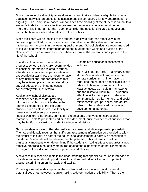# **Required Assessment: An Educational Assessment**

Since presence of a disability alone does not mean that a student is eligible for special education services, an educational assessment is also required for any determination of eligibility. The Team, in all cases, will consider if the disability of the student is causal to a student's inability to make effective progress in the general education environment. Therefore, it is important for the Team to consider the questions related to educational impact both separately and in relation to the disability.

Since the Team will be looking at the student's ability to progress effectively in the context of general education, assessment should focus on the individual student and his/her performance within the learning environment. School districts are recommended to include observational information about the student both within and outside of the classroom in order to provide a comprehensive look at the student's participation in the life of the school.

In addition to a review of education progress, school districts are recommended to consider information related to student attendance or avoidance, participation in extracurricular activities, and documentation of any instructional support activities that may have taken place prior to referral for special education, or in some cases, concurrently with such referral.

Additionally, school districts are recommended to consider providing information on factors which shape the learning experience of the individual student, such as class size, availability of general education support services,

A complete educational assessment includes:

603 CMR 28.04(2)(a)(2) …a history of the student's educational progress in the general curriculum . . . information . . . regarding the student's specific abilities in relation to learning standards of the Massachusetts Curriculum Frameworks and the district curriculum, . . . student's attention skills, participation behaviors, communication skills, memory, and social relations with groups, peers, and adults. . .also . . . the student's educational and developmental potential.

linguistic/cultural differences, curriculum expectations, and types of instructional materials. Table 2, presented earlier in this document, outlines a series of questions that may be fruitful in reviewing a student's educational history.

# **Narrative description of the student's educational and developmental potential:**

The law additionally requires that sufficient assessment information be provided to allow the district to include, as part of the educational assessment, a narrative description of the student's educational and developmental potential. This information will be particularly important when determining if the student is making effective progress, since effective progress is not solely measured against the expectations of the classroom but also against the individual student's potential and abilities.

A caveat to this assertion rests in the understanding that special education is intended to provide equal educational opportunities for children with disabilities, and to protect against discrimination on the basis of disability.

Providing a narrative description of the student's educational and developmental potential does not, however, require making a determination of eligibility. That is the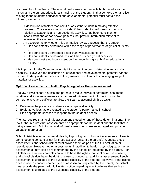responsibility of the Team. The educational assessment reflects both the educational history and the current educational standing of the student. In that context, the narrative relating to the students educational and developmental potential must contain the following elements:

- 1. A description of factors that inhibit or assist the student in making effective progress. The assessor must consider if the student's performance in school, in relation to academic and non-academic activities, has been consistent or inconsistent and/or has shown patterns that provide information relevant to assessing the student's potential.
- 2. An assertion as to whether this summative review suggests that the student:
	- Has consistently performed within the range of performance of typical students; or
	- Has consistently performed better than typical students; or
	- Has consistently performed less well than his/her typical peers; or
	- Has demonstrated inconsistent performance throughout his/her educational history.

It is important for the Team to have this information in order to determine impact of a disability. However, the description of educational and developmental potential cannot be used to deny a student access to the general curriculum or to challenging subject materials or activities.

# **Optional Assessments: Health, Psychological, or Home Assessment**

The law allows school districts and parents to make individual determinations about whether additional assessments are warranted. Assessment information must be comprehensive and sufficient to allow the Team to accomplish three tasks:

- 1. Determine the presence or absence of a type of disability
- 2. Evaluate various factors related to the student's performance in school
- 3. Plan appropriate services to respond to the student's needs

The law requires that no single assessment is used for any of these determinations. The law further requires that assessments be appropriate for the student and the task that is being assessed. Both formal and informal assessments are encouraged and provide valuable information.

School districts may recommend Health, Psychological, or Home Assessments. Parents can choose to consent or not for these assessments. If the parent(s) requests these assessments, the school district must provide them as part of the full evaluation or reevaluation. However, other assessments, in addition to health, psychological or home assessments, may also be recommended by the school or requested by the parent. For all other assessments parents continue to have the right to consent or refuse consent, and school districts have the right to refuse to conduct an additional assessment if such assessment is unrelated to the suspected disability of the student. However, if the district does refuse to conduct another type of assessment requested by the parent, the district must provide the parent with full written notice regarding why it believes that such an assessment is unrelated to the suspected disability of the student.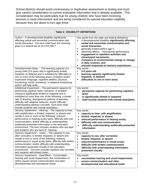School districts should avoid unnecessary or duplicative assessment or testing and must give careful consideration to current evaluative information that is already available. This consideration may be particularly true for young children who have been receiving services in early intervention and are being considered for special education eligibility because they are about to turn age three.

|                                                                                                                                                                                                                                                                                                                                                                                                                                               | TADIE 3. DISABILITY DEFINITIONS                                                                                                                                                                                                                                                                                                                                                                                                                                               |
|-----------------------------------------------------------------------------------------------------------------------------------------------------------------------------------------------------------------------------------------------------------------------------------------------------------------------------------------------------------------------------------------------------------------------------------------------|-------------------------------------------------------------------------------------------------------------------------------------------------------------------------------------------------------------------------------------------------------------------------------------------------------------------------------------------------------------------------------------------------------------------------------------------------------------------------------|
| Autism - A developmental disability significantly<br>affecting verbal and nonverbal communication and<br>social interaction. The term shall have the meaning<br>given it in federal law at 34 CFR 300.7.                                                                                                                                                                                                                                      | Key words from the state and federal definitions:<br>A developmental disability significantly affecting<br>verbal and nonverbal communication and<br>social interaction.<br>generally evident before age 3<br>٠<br>adversely affects educational performance.<br>٠<br>engagement in repetitive activities and<br>٠<br>stereotyped movements,<br>resistance to environmental change or change<br>٠<br>in daily routines, and<br>unusual responses to sensory experiences.<br>٠ |
| Developmental Delay - The learning capacity of a<br>young child (3-9 years old) is significantly limited,<br>impaired, or delayed and is exhibited by difficulties in<br>one or more of the following areas: receptive and/or<br>expressive language; cognitive abilities; physical<br>functioning; social, emotional, or adaptive functioning;<br>and/or self-help skills.                                                                   | Key words:<br>3-9 years old<br>learning capacity significantly limited,<br>٠<br>impaired, or delayed<br>difficulties in one or more areas<br>٠                                                                                                                                                                                                                                                                                                                                |
| Intellectual Impairment - The permanent capacity for<br>performing cognitive tasks, functions, or problem<br>solving is significantly limited or impaired and is<br>exhibited by more than one of the following: a slower<br>rate of learning; disorganized patterns of learning;<br>difficulty with adaptive behavior; and/or difficulty<br>understanding abstract concepts. Such term shall<br>include students with mental retardation.    | Key words:<br>permanent capacity for performing cognitive<br>tasks<br>is significantly limited or impaired<br>$\bullet$<br>shall include students with mental retardation.                                                                                                                                                                                                                                                                                                    |
| Sensory Impairment - Hearing - The capacity to hear,<br>with amplification, is limited, impaired, or absent and<br>results in one or more of the following: reduced<br>performance in hearing acuity tasks; difficulty with oral<br>communication; and/or difficulty in understanding<br>auditorally-presented information in the education<br>environment. The term includes students who are deaf<br>and students who are hard-of -hearing. | Key words:<br>capacity to hear, with amplification<br>limited, impaired, or absent<br>reduced performance in hearing acuity<br>difficulty with oral communication<br>difficulty understanding auditorally-presented<br>information                                                                                                                                                                                                                                            |
| Sensory Impairment - Vision - The capacity to see,<br>after correction, is limited, impaired, or absent and<br>results in one or more of the following: reduced<br>performance in visual acuity tasks; difficulty with written<br>communication; and/or difficulty with understanding<br>information presented visually in the education<br>environment. The term includes students who are blind<br>and students with limited vision.        | Key words:<br>capacity to see, after correction<br>$\bullet$<br>limited, impaired, or absent<br>$\bullet$<br>reduced performance in visual acuity<br>$\bullet$<br>difficulty with written communication<br>$\bullet$<br>difficulty with understanding information<br>$\bullet$<br>presented visually                                                                                                                                                                          |
| Sensory Impairment - Deaf-Blind - Concomitant<br>hearing and visual impairments, the combination of<br>which causes severe communication and other<br>developmental and educational needs.                                                                                                                                                                                                                                                    | Key words:<br>concomitant hearing and visual impairments<br>severe communication and other<br>$\bullet$<br>developmental and educational needs                                                                                                                                                                                                                                                                                                                                |

# **Table 3: DISABILITY DEFINITIONS**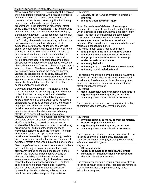| Table 3: DISABILITY DEFINITIONS - continued                                                                  |                                                                               |  |
|--------------------------------------------------------------------------------------------------------------|-------------------------------------------------------------------------------|--|
| Neurological Impairment - The capacity of the nervous                                                        | Key words:                                                                    |  |
| system is limited or impaired with difficulties exhibited                                                    | capacity of the nervous system is limited or<br>$\bullet$                     |  |
| in one or more of the following areas: the use of                                                            | impaired                                                                      |  |
| memory, the control and use of cognitive functioning,                                                        | includes traumatic brain injury<br>$\bullet$                                  |  |
| sensory and motor skills, speech, language,                                                                  |                                                                               |  |
| organizational skills, information processing, affect,                                                       | Note: Massachusetts' definition of neurological                               |  |
| social skills, or basic life functions. The term includes                                                    | impairment is more inclusive than the federal definition                      |  |
| students who have received a traumatic brain injury.                                                         | which is limited to students with traumatic brain injury.                     |  |
| Emotional Impairment - As defined under federal law                                                          | Note: The federal definition uses the terminology                             |  |
| at 34 CFR §300.7, the student exhibits one or more of                                                        | "serious emotional disturbance." State statutory                              |  |
| the following characteristics over a long period of time                                                     | requirements require that the term "emotional                                 |  |
| and to a marked degree that adversely affects                                                                | impairment" be considered synonymous with the term                            |  |
| educational performance: an inability to learn that                                                          | "serious emotional disturbance."                                              |  |
| cannot be explained by intellectual, sensory, or health                                                      | Key words in both state a federal definitions:                                |  |
| factors; an inability to build or maintain satisfactory                                                      | long period of time and to a marked degree                                    |  |
| interpersonal relationships with peers and teachers;                                                         | adversely affects educational performance<br>$\bullet$                        |  |
| inappropriate types of behavior or feelings under                                                            | inappropriate types of behavior or feelings<br>$\bullet$                      |  |
| normal circumstances; a general pervasive mood of                                                            | under normal circumstances                                                    |  |
| unhappiness or depression; or a tendency to develop                                                          | not solely behavior<br>$\bullet$                                              |  |
| physical symptoms or fears associated with personal or                                                       | not solely court or social service involvement<br>$\bullet$                   |  |
| school problems. The determination of disability shall                                                       | not solely social maladjustment<br>$\bullet$                                  |  |
| not be made solely because the student's behavior                                                            |                                                                               |  |
| violates the school's discipline code, because the                                                           | The regulatory definition is by no means exhaustive in                        |  |
| student is involved with a state court or social service                                                     | its listing of possible characteristics of an emotional                       |  |
| agency, or because the student is socially maladjusted,                                                      | impairment. Readers are reminded that many other                              |  |
| unless the Team determines that the student has a                                                            | sources of evidence of emotional impairment may                               |  |
| serious emotional disturbance.                                                                               | affect educational progress.                                                  |  |
|                                                                                                              | Key words:                                                                    |  |
| Communication Impairment - The capacity to use                                                               |                                                                               |  |
| expressive and/or receptive language is significantly<br>limited, impaired, or delayed and is exhibited by   | use of expressive and/or receptive language is<br>$\bullet$                   |  |
|                                                                                                              | significantly limited, impaired, or delayed                                   |  |
| difficulties in one or more of the following areas:<br>speech, such as articulation and/or voice; conveying, | adversely affects educational performance<br>$\bullet$                        |  |
| understanding, or using spoken, written, or symbolic                                                         |                                                                               |  |
| language. The term may include a student with                                                                | The regulatory definition is not exhaustive in its listing                    |  |
| impaired articulation, stuttering, language impairment,                                                      | of communication areas that may be affected.                                  |  |
| or voice impairment if such impairment adversely                                                             |                                                                               |  |
| affects the student's educational performance.                                                               |                                                                               |  |
| Physical Impairment - The physical capacity to move,                                                         | Key words:                                                                    |  |
| coordinate actions, or perform physical activities is                                                        | physical capacity to move, coordinate actions,                                |  |
| significantly limited, impaired, or delayed and is                                                           | or perform physical activities                                                |  |
| exhibited by difficulties in one or more of the following                                                    | significantly limited, impaired, or delayed<br>$\bullet$                      |  |
| areas: physical and motor tasks; independent                                                                 |                                                                               |  |
| movement; performing basic life functions. The term                                                          | adversely affects educational performance<br>$\bullet$                        |  |
| shall include severe orthopedic impairments or                                                               |                                                                               |  |
| impairments caused by congenital anomaly, cerebral                                                           | The regulatory definition is by no means exhaustive in                        |  |
| palsy, amputations, and fractures if such impairment                                                         | its listing of physical impairments. Readers are                              |  |
| adversely affects a student's educational performance.                                                       | reminded that many other physical impairments may                             |  |
| Health Impairment - A chronic or acute health problem                                                        | affect educational progress.<br>Key words                                     |  |
|                                                                                                              | <b>Chronic or acute</b><br>٠                                                  |  |
| such that the physiological capacity to function is                                                          |                                                                               |  |
| significantly limited or impaired and results in one or                                                      | Capacity to function is significantly limited<br>٠<br>٠                       |  |
| more of the following: limited strength, vitality or                                                         | Resulting in limited alertness with respect to<br>the educational environment |  |
| alertness including a heightened alertness to                                                                |                                                                               |  |
| environmental stimuli resulting in limited alertness with                                                    |                                                                               |  |
| respect to the educational environment. The term                                                             | The regulatory definition is by no means exhaustive in                        |  |
| shall include health impairments due to asthma,                                                              | its listing of health impairments. Readers are reminded                       |  |
| attention deficit disorder or attention deficit with                                                         | that many other health impairments may affect                                 |  |
| hyperactivity disorder, diabetes, epilepsy, a heart                                                          | educational progress.                                                         |  |
| condition, hemophilia, lead poisoning, leukemia,                                                             |                                                                               |  |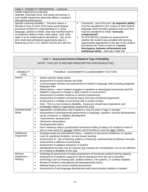| Table 3: DISABILITY DEFINITIONS - continued                                                                                                                                                                                                                                                                                                                                                                                                             |                                                                                                                                                                                                                                                                                                                                                                                                                                                                                                                     |
|---------------------------------------------------------------------------------------------------------------------------------------------------------------------------------------------------------------------------------------------------------------------------------------------------------------------------------------------------------------------------------------------------------------------------------------------------------|---------------------------------------------------------------------------------------------------------------------------------------------------------------------------------------------------------------------------------------------------------------------------------------------------------------------------------------------------------------------------------------------------------------------------------------------------------------------------------------------------------------------|
| Health Impairment (continued)                                                                                                                                                                                                                                                                                                                                                                                                                           |                                                                                                                                                                                                                                                                                                                                                                                                                                                                                                                     |
| nephritis, rheumatic fever, and sickle cell anemia, if                                                                                                                                                                                                                                                                                                                                                                                                  |                                                                                                                                                                                                                                                                                                                                                                                                                                                                                                                     |
| such health impairment adversely affects a student's                                                                                                                                                                                                                                                                                                                                                                                                    |                                                                                                                                                                                                                                                                                                                                                                                                                                                                                                                     |
| educational performance.                                                                                                                                                                                                                                                                                                                                                                                                                                |                                                                                                                                                                                                                                                                                                                                                                                                                                                                                                                     |
| Specific Learning Disability - The term means a<br>disorder in one or more of the basic psychological<br>processes involved in understanding or in using<br>language, spoken or written, that may manifest itself in<br>an imperfect ability to listen, think speak, read, write,<br>spell, or to do mathematical calculations. Use of the<br>term shall meet all federal requirements given in<br>federal law at 34 C.F.R. §§300.7(c)(10) and 300.541. | Comments: use of the term "an imperfect ability"<br>٠<br>must be considered in the context of other federal<br>language which provides guidance that such term<br>may be considered to mean "seriously<br>compromised".<br>34 CFR 300.541 includes an assessment of<br>٠<br>whether the student was provided with learning<br>opportunities appropriate to the age of the student,<br>and directs the Team to look for a severe<br>discrepancy between achievement and<br>intellectual ability. (See also Table 5A) |

|                                   | Table 4: Assessment Factors Related to Type of Disability<br>(NOTE: THIS LIST IS NEITHER PRESCRIPTIVE NOR EXHAUSTIVE)                                                                                                                                                                                                                                                                                                                                                                                                                                                                                                                                                                                                                                                                     |
|-----------------------------------|-------------------------------------------------------------------------------------------------------------------------------------------------------------------------------------------------------------------------------------------------------------------------------------------------------------------------------------------------------------------------------------------------------------------------------------------------------------------------------------------------------------------------------------------------------------------------------------------------------------------------------------------------------------------------------------------------------------------------------------------------------------------------------------------|
| <b>DISABILITY</b><br><b>TYPE</b>  | POSSIBLE ASSESSMENTS & ASSESSMENT FACTORS                                                                                                                                                                                                                                                                                                                                                                                                                                                                                                                                                                                                                                                                                                                                                 |
| Autism                            | Autism-specific rating scales<br>$\bullet$<br>Assessment of social maturity and skills<br>$\bullet$<br>Communication Sample and assessment of student's language skills including pragmatic<br>$\bullet$<br>language skills<br>Observations - note if student engages in repetitive or stereotyped movements and the<br>$\bullet$<br>student's response to change in daily routines or environment<br>Assessment of student response to sensory experiences<br>$\bullet$<br>Assessment of student's emotional status (see also emotional impairment)<br>٠<br>Assessment in multiple environments with a variety of tasks<br>$\bullet$<br>Note: This is a low incidence disability. Assessors should have experience and<br>$\bullet$<br>knowledge related to appropriate assessment tools |
| Developmental<br>Delay            | Appropriate consideration only if student is nine (9) years of age or younger<br>$\bullet$<br>Assessment of developmental performance in language; cognition; physical development;<br>$\bullet$<br>social, emotional, or adaptive development<br>Psychometric assessments<br>$\bullet$<br><b>Classroom observations</b><br>$\bullet$<br>Developmental history<br>$\bullet$<br>Norm reference data or professional consensus finding of delay of 6 months or more in<br>$\bullet$<br>one or more areas for younger children and 9 months or more for older children                                                                                                                                                                                                                       |
| Intellectual<br>Impairment        | Developmental and educational history - evidence of permanent limitations of capacity<br>$\bullet$<br>Look for significant limitation, not just slower learning<br>$\bullet$<br>Assessment of: rate of learning, patterns of learning, understanding of abstract concepts.<br>$\bullet$<br>Assessment in different environments<br>$\bullet$<br>Assessment of adaptive behaviors of student<br>$\bullet$<br>Standardized IQ tests may be used as one measure for consideration, but is not sufficient<br>$\bullet$<br>for a finding of disability of this type                                                                                                                                                                                                                            |
| Sensory<br>Impairment-<br>Hearing | Audiological assessment including assessment of functional residual hearing capacity<br>$\bullet$<br>Assessment of student's capacity to derive assistance from the use of assistive<br>$\bullet$<br>technology such as hearing aids, auditory trainers, FM systems, or cochlear implants<br>Review of student's educational and developmental history<br>$\bullet$<br>Medical history and current medical assessment<br>$\bullet$<br>Assessment of oral language development and communication abilities of student<br>$\bullet$                                                                                                                                                                                                                                                         |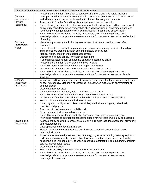|                                                  | Table 4: Assessment Factors Related to Type of Disability - continued                                                                                                                                                                                                                                                                                                                                                                                                                                                                                                                                                                                                                                                                                                                                                                                                                                                                                                                                                                               |
|--------------------------------------------------|-----------------------------------------------------------------------------------------------------------------------------------------------------------------------------------------------------------------------------------------------------------------------------------------------------------------------------------------------------------------------------------------------------------------------------------------------------------------------------------------------------------------------------------------------------------------------------------------------------------------------------------------------------------------------------------------------------------------------------------------------------------------------------------------------------------------------------------------------------------------------------------------------------------------------------------------------------------------------------------------------------------------------------------------------------|
| Sensory<br>Impairment-<br>Hearing<br>(continued) | Assessment of student in relation to school environment, and vice versa, including<br>$\bullet$<br>participation behaviors, social/communication behaviors, interaction with other students<br>and with adults, and behaviors in relation to different learning environments<br>Assessment of student's auditory discrimination and processing skills<br>Note: Hearing impairment is often concurrent with other disabling conditions and should<br>$\bullet$<br>be carefully considered when student has physical disabilities or syndromes, apparent<br>fluctuating or changed auditory skills, communication impairments or poor vision<br>Note: This is a low incidence disability. Assessors should have experience and<br>$\bullet$<br>knowledge related to appropriate assessment tools for students who may be deaf or hard<br>of hearing                                                                                                                                                                                                   |
| Sensory<br>Impairment-<br>Vision                 | Visual acuity assessment, including assessment of functional residual vision after<br>$\bullet$<br>correction<br>Note: students with multiple impairments are at risk for visual impairments. If multiple<br>$\bullet$<br>impairments are present, a vision screening should be provided<br>Medical history and current medical assessment<br>$\bullet$<br>Opthamological and clinical low vision assessment<br>$\bullet$<br>If appropriate, assessment of student's capacity to learn/use Braille<br>$\bullet$<br>Assessment of student's orientation and mobility skills<br>$\bullet$<br>Review of student's educational and developmental history<br>$\bullet$<br>Assessment of student's visual discrimination and processing skills<br>$\bullet$<br>Note: This is a low incidence disability. Assessors should have experience and<br>$\bullet$<br>knowledge related to appropriate assessment tools for students who may be visually<br>impaired                                                                                              |
| Sensory<br>Impairment $-$<br>Deaf-Blind          | Visual and auditory acuity assessments including assessment of functional residual vision<br>$\bullet$<br>or hearing capacity. Diagnosis of "deafblind" is best when made by an ophthalmologist<br>and audiologist<br><b>Observational checklists</b><br>$\bullet$<br>Communication assessment, both receptive and expressive<br>$\bullet$<br>Review of student's educational, medical, and developmental history<br>$\bullet$<br>Assessment of student's visual and auditory discrimination and processing skills<br>$\bullet$<br>Medical history and current medical assessment<br>$\bullet$<br>Note: High probability of associated disabilities; medical, neurological, behavioral,<br>$\bullet$<br>cognitive, and physical<br>Assessment of orientation and mobility skills<br>$\bullet$<br>Observation of student in multiple settings<br>$\bullet$<br>Note: This is a low incidence disability. Assessors should have experience and<br>$\bullet$<br>knowledge related to appropriate assessment tools for individuals who may be deafblind. |
| Neurological<br>Impairment                       | Assessment by qualified Neuropsychologist or Neurologist that does not repeat previously<br>$\bullet$<br>administered testing<br>Developmental and educational history<br>$\bullet$<br>Medical history and current assessment, including a medical screening for known<br>$\bullet$<br>neurological insults<br>Assessments in related areas such as: memory, cognitive functioning, sensory and motor<br>$\bullet$<br>skills, communication skills, organizational skills, information processing, social skills,<br>behavior, flexibility/adaptability, attention, reasoning, abstract thinking, judgment, problem-<br>solving, mental health status<br>Observation of student<br>$\bullet$<br>This type of disability is often associated with low birth weight<br>$\bullet$<br>Note: This is a low incidence disability. Assessors should have experience and<br>$\bullet$<br>knowledge related to appropriate assessment tools for students who may have<br>neurological impairment                                                             |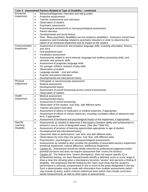|                        | Table 4: Assessment Factors Related to Type of Disability - continued                                                                                                                                                                                            |
|------------------------|------------------------------------------------------------------------------------------------------------------------------------------------------------------------------------------------------------------------------------------------------------------|
| Emotional              | Behavioral/diagnostic checklists and rating scales<br>$\bullet$                                                                                                                                                                                                  |
| Impairment             | Projective assessments<br>$\bullet$                                                                                                                                                                                                                              |
|                        | Teacher assessments and interviews<br>$\bullet$                                                                                                                                                                                                                  |
|                        | Observation of student<br>$\bullet$                                                                                                                                                                                                                              |
|                        | Psychiatric assessment<br>$\bullet$                                                                                                                                                                                                                              |
|                        | Psychological assessment or neuropsychological assessment<br>$\bullet$                                                                                                                                                                                           |
|                        | Parent interview<br>٠                                                                                                                                                                                                                                            |
|                        | Developmental and social history<br>٠                                                                                                                                                                                                                            |
|                        | Note: Many psychiatric disabilities are low incidence disabilities. Assessors should have<br>$\bullet$<br>experience and knowledge related to psychiatric disorders in order to determine the<br>nature of an emotional impairment and its impact on the student |
| Communication          | Assessment of expressive and receptive language skills, including articulation, fluency,<br>$\bullet$                                                                                                                                                            |
| Impairment             | and voice                                                                                                                                                                                                                                                        |
|                        | Oral-peripheral exam<br>٠                                                                                                                                                                                                                                        |
|                        | Vocabulary assessment<br>$\bullet$                                                                                                                                                                                                                               |
|                        | Assessments related to word retrieval, language and auditory processing skills, and<br>$\bullet$<br>semantic and syntactic skills                                                                                                                                |
|                        | Assessment of pragmatic language skills<br>$\bullet$                                                                                                                                                                                                             |
|                        | For younger children, analysis of play skills<br>$\bullet$                                                                                                                                                                                                       |
|                        | Observation of student<br>$\bullet$                                                                                                                                                                                                                              |
|                        | Language sample - oral and written<br>$\bullet$                                                                                                                                                                                                                  |
|                        | Teacher and parent interviews<br>$\bullet$                                                                                                                                                                                                                       |
|                        | Developmental and educational history<br>$\bullet$                                                                                                                                                                                                               |
| Physical<br>Impairment | Orthopedic or neuromuscular assessment<br>$\bullet$<br>Medical assessment                                                                                                                                                                                        |
|                        | $\bullet$                                                                                                                                                                                                                                                        |
|                        | Developmental history<br>$\bullet$<br>Assessment of school functioning across school environments                                                                                                                                                                |
|                        | $\bullet$<br>Observation of student<br>$\bullet$                                                                                                                                                                                                                 |
| Health                 | Medical assessment<br>$\bullet$                                                                                                                                                                                                                                  |
| Impairment             | Developmental history<br>$\bullet$                                                                                                                                                                                                                               |
|                        | Assessment of school functioning<br>$\bullet$                                                                                                                                                                                                                    |
|                        | Observation of the student, over time, with different tasks<br>$\bullet$                                                                                                                                                                                         |
|                        | Teacher and parent interviews<br>$\bullet$                                                                                                                                                                                                                       |
|                        | Assessment of effects of medication or medical treatment, if appropriate<br>$\bullet$                                                                                                                                                                            |
|                        | Assessment of effects of chronic absences, including cumulative effect of absences over<br>$\bullet$                                                                                                                                                             |
|                        | time, if appropriate                                                                                                                                                                                                                                             |
|                        | Assessment of emotional and psychological impact of the impairment, if appropriate<br>$\bullet$                                                                                                                                                                  |
| Specific               | Assessments as needed to determine if discrepancy between ability and achievement is<br>$\bullet$                                                                                                                                                                |
| Learning               | present in one or more of designated areas (See also Table 5A)                                                                                                                                                                                                   |
| <b>Disability</b>      | Assessment of provision of learning opportunities appropriate to age of student<br>$\bullet$                                                                                                                                                                     |
|                        | Developmental and educational history<br>$\bullet$                                                                                                                                                                                                               |
|                        | Classroom data on performance, over time, and with different tasks<br>$\bullet$                                                                                                                                                                                  |
|                        | Observations by more than one person, over time, with different tasks<br>$\bullet$                                                                                                                                                                               |
|                        | Psychometric, psychological, or neuropsychological assessments<br>$\bullet$                                                                                                                                                                                      |
|                        | Assessments as needed to also consider the possibility of associated sensory impairment,<br>$\bullet$<br>emotional impairment, cultural difference, intellectual impairment                                                                                      |
|                        | Caution $#1$ : Assessment should be initially informed by professional judgement and/or<br>$\bullet$<br>parental concerns and does not require assessment that "covers the territory"                                                                            |
|                        | Caution #2: The federal term "severe discrepancy" does not require specific IQ or<br>$\bullet$                                                                                                                                                                   |
|                        | achievement testing, nor does Massachusetts identify a definitive score or score range to                                                                                                                                                                        |
|                        | draw a clear line showing when a discrepancy becomes "severe" and warrants a finding of                                                                                                                                                                          |
|                        | disability. We emphasize that the finding by the Team must show that the student's                                                                                                                                                                               |
|                        | performance is seriously compromised in one or more of the areas designated in the law.                                                                                                                                                                          |
|                        | Such a determination may be made with information from multiple assessments (which<br>may include IQ tests), and/or criterion-referenced tests (which may include curriculum-                                                                                    |
|                        | based measurement), as well as other types of assessments                                                                                                                                                                                                        |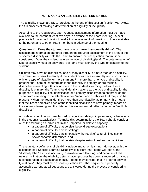# **V. MAKING AN ELIGIBILITY DETERMINATION**

The Eligibility Flowchart, ED-1, provided at the end of this section (Section V), reviews the full process of making a determination of eligibility or ineligibility.

According to the regulations, upon request, assessment information must be made available to the parent at least two days in advance of the Team meeting. A best practice is for a school district to make this assessment information routinely available to the parent and to other Team members in advance of the meeting.

**Question #1. Does the student have one or more than one disability?** The assessment information gathered through the required assessment in the area of the suspected disability will help the Team to answer the first question that must be considered: Does the student have some type of disability(ies)? The determination of type of disability must be answered "yes" and must identify the type of disability of the student.

Children may have no disabilities, one primary disability, or more than one disability. The Team must seek to identify if the student does have a disability and if so, is there only one type of disability or more than one? If more than one type of disability is present, the Team must determine if one disability is primary, or are multiple disabilities interacting with similar force in this student's learning profile? If one disability is primary, the Team should identify that one as the type of disability for the purposes of eligibility. The identification of a primary disability does not preclude the Team from attending to the effects of other "secondary" disabilities that may also be present. When the Team identifies more than one disability as primary, this means that the Team perceives each of the identified disabilities to have primary impact on the student's learning and the data for this student would reflect a finding of "multiple disabilities."

A disabling condition is characterized by significant delays, impairments, or limitations in the student's capacity(ies). To make this determination, the Team should consider all of the following as indices of limited, impaired, or delayed capacity:

- a pattern of difficulty that persists beyond age expectations;
- a pattern of difficulty across settings;
- a pattern of difficulty that is not solely the result of cultural, linguistic, or socioeconomic differences; and
- a pattern of difficulty that persists despite instructional support activities.

The regulatory definitions of disability include impact on learning. However, with the exception of a Specific Learning Disability, it is likely that Teams will look at the "disability label" as if it is occurring in isolation from learning, and because of this natural inclination, the eligibility determination process has been structured to include a consideration of educational impact. Teams may consider that in order to answer Question #1, they must also discuss Question #2. That sequence is perfectly acceptable as long as all questions are answered during the process of considering eligibility.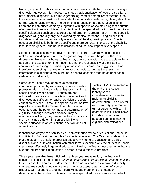Naming a type of disability has common characteristics with the process of making a diagnosis. However, it is important to stress that identification of type of disability is not a medical diagnosis, but a more general agreement among Team members that the assessed characteristics of the student are consistent with the regulatory definition for that type of disability(ies). The definitions in regulation are general definitions. Each one is comprised of many subgroups with specific associated diagnostic criteria, often medical in nature. It is not the intention of the special education law to require a specific diagnosis such as "Asperger's Syndrome" or "Cerebral Palsy." Those specific diagnoses will generally only be provided by medical personnel using criteria that include educational impact as only one aspect of the diagnostic process. Special education eligibility is both more specific and more general. The use of the disability label is more general, but the consideration of educational impact is very specific.

Some of the assessors who provide information to the Team may be in a position to make a medical diagnosis and the diagnosis may, therefore, be part of the Team discussion. However, although a Team may use a diagnosis made available to them as part of the assessment information, it is not the responsibility of the Team to confirm or deny a diagnosis made by an assessor. Teams should not spend time, therefore, attempting to agree on an exact diagnosis as long as the assessment information is sufficient to make the more general assertion that the student has a certain type of disability.

Conversely, Teams may often have conflicting information provided by assessors, including medical professionals, who have made a diagnosis naming a specific disability or disorder. Teams are not obligated to resolve such conflicts nor to accept such diagnoses as sufficient to require provision of special education services. In fact, the special education law explicitly requires that a Team of people, including educators and the parent(s), make a determination of eligibility. Although medical personnel may be members of a Team, they cannot be the only voice of the Team since a determination of eligibility for special education is an educational decision and not a medical one.

Tables 5A & B, presented at the end of this section identify special considerations unique to making an eligibility determination: Table 5A for each disability type; Table 5B for students with certain characteristics. Each Table includes guidance to support Teams in making eligibility determinations.

Identification of type of disability by a Team without a review of educational impact is insufficient to find a student eligible for special education. The Team must determine that the student is unable to progress effectively in general education and that a disability alone, or in conjunction with other factors, explains why the student is unable to progress effectively in general education. Finally, the Team must determine that the student requires special education in order to make effective progress.

**Three year reevaluations:** Following a three year reevaluation, the Team will convene to consider if a student *continues to be eligible for special education services*. In such case, the Team must determine if the student continues to have a disability that requires special education services. In most cases, determination of type of disability will not change, and the Team will spend more time and attention determining if the student continues to require special education services in order to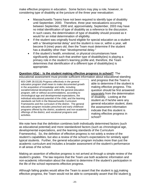make effective progress in education. Some factors may play a role, however, in considering type of disability at the juncture of the three year reevaluation:

- Massachusetts Teams have not been required to identify type of disability until September, 2000. Therefore, three year reevaluations occurring between September, 2000 and, approximately, September, 2003 may have no initial identification of type of disability as a reference to the discussion. In such cases, the determination of type of disability should proceed as it would for an initial determination of eligibility.
- If the student was originally found eligible for special education as a student with a "developmental delay" and the student is now or, within a year, will become 9 (nine) years old, then the Team must determine if the student has a disability other than "developmental delay."
- If the student's health, emotional, or physical circumstances have significantly altered such that another type of disability(ies) is playing a primary role in the student's learning profile and, therefore, the Team determines that identification of a different type of disability(ies) is appropriate.

# **Question #2(a) : Is the student making effective progress in school?** The educational assessment must provide sufficient information about educational standing

603 CMR 28.02(18) *Progress effectively in the general education program* shall mean to make documented growth in the acquisition of knowledge and skills, including social/emotional development, within the general education program, with or without accommodations, according to chronological age and developmental expectations, the individual educational potential of the child, and the learning standards set forth in the Massachusetts Curriculum Frameworks and the curriculum of the district. The general education program includes preschool and early childhood programs offered by the district, academic and non-academic offerings of the district, and vocational programs and activities.

and progress that the Team is able to determine if the student is making effective progress. This question should be first answered separately from the determination of disability. Looking at the student as if he/she were any general education student, does the assessment information indicate that this student is making effective progress in school?

We note here that the definition combines both individually determined factors (such as educational potential) and more standardized factors (such as chronological age, developmental expectations, and the learning standards of the Curriculum Frameworks). So, the definition of effective progress is not solely a review of the student's capabilities, but also a review of the school's expectations for similarly aged typical students. Further, the general education program includes more than just the academic curriculum and includes a broader assessment of the student's performance in all areas of the school.

Making an assertion of effective progress is not arrived at through a simple review of the student's grades. The law requires that the Team use both academic information and non-academic information about the student to determine if the student's participation in the life of the school represents effective progress.

Although failing grades would allow the Team to assert that the student is not making effective progress, the Team would not be able to comparably assert that the student is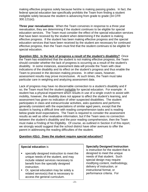making effective progress solely because he/she is making passing grades. In fact, the federal special education law specifically prohibits the Team from finding a student ineligible solely because the student is advancing from grade to grade (34 CFR 300.121(e)).

**Three year reevaluations:** When the Team convenes in response to a three year reevaluation, they are determining if the student *continues* to be eligible for special education services. The Team must consider the effect of the special education services that have been received by the student when determining if the student is making effective progress. If the student has been making effective progress and the special education services that have been received by the student are necessary for continued effective progress, then the Team must find that the student continues to be eligible for special education.

**Question 2(b): Is the lack of progress a result of the student's disability?** Once the Team has established that the student is not making effective progress, the Team should consider whether the lack of progress is occurring as a result of the student's disability. In some instances, assessment data will provide the Team with clear indications of the disability and its effect on the student's progress and thus enable the Team to proceed in the decision making process. In other cases, however, assessment results may prove inconclusive. At such times, the Team must take particular care in weighing and analyzing assessment data.

Lack of progress may have no discernable connection to a student's disability and if so, the Team must find the student ineligible for special education. For example: A student has a physical impairment which results in use of a single crutch to assist with mobility, however, the disability does not appear to affect the student's learning, and assessment has given no indication of other suspected disabilities. The student participates in class and extracurricular activities, asks questions and performs generally consistent with the expectations of similar aged peers, except that the student is having a difficult time with reading comprehension tasks and is reading below grade level expectations. The Team is required to consider the assessment results as well as other evaluative information, but if the Team sees no connection between the student's disability and the poor reading comprehension, then the Team must make a Finding of No Eligibility. Of course, as outlined in Section II of this report, we strongly would suggest that the school district have other avenues to offer the parent in addressing the reading difficulties of the student.

# **Question #2(c): Does the student require special education?**

# **Special education** is

- specially designed instruction to meet the unique needs of the student, and may include related services necessary to benefit from the specially designed instruction.
- Or, special education may be solely a related service(s) that is necessary to access the general curriculum.

# **Specially Designed Instruction**

is instruction for the student that is designed to meet the unique needs of that student. Such special design may require modifying content, methodology, delivery of instruction, or instructional format, or performance criteria. For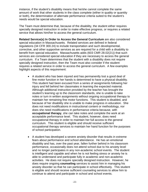instance, if the student's disability means that he/she cannot complete the same amount of work that other students in the class complete (either in quality or quantity or both), the determination of alternate performance criteria suited to the student's needs would be special education.

The Team must determine that, because of the disability, the student either requires specially designed instruction in order to make effective progress, or requires a related service that allows him/her to access the general curriculum.

**Related Service(s) In Order to Access the General Curriculum** are also considered special education in Massachusetts. Related services are defined in federal regulations (34 CFR 300.24) to include transportation and such developmental, corrective, and other supportive services as are required for a child with a disability to benefit from special education. Massachusetts adds (603 CMR 28.02(21)) that such services are considered special education if they are necessary to access the general curriculum. If a Team determines that the student with a disability does not require specially designed instruction, then the Team must also consider if the student requires a related service in order to access the general curriculum. A few examples highlight aspects of this requirement:

- A student who has been injured and has permanently lost a good deal of fine motor function in her hands is determined to have a physical disability. This student had been excused from a series of assignments following her injury and fell behind her classmates in learning the expected material. Although additional instruction provided by the teacher has brought the student's learning up to the classroom standards, she is unable to take notes or turn in written assignments without ongoing occupational therapy to maintain her remaining fine motor functions. This student is disabled, and because of her disability she is unable to make progress in education. She does not need modifications in instructional content or methodology, nor does she need modifications in performance criteria because, with **occupational therapy**, she can take notes and complete the work at an acceptable performance level. This student, however, does need occupational therapy in order to maintain her full access to the general curriculum. This student is eligible and should receive sufficient occupational therapy services to maintain her hand function for the purposes of school participation.
- A student has developed a severe anxiety disorder that results in extreme fears about performance and school attendance. He has an emotional disability and has, over the past year, fallen further behind in his classroom performance, occasionally does not attend school due to his anxiety level and no longer participates in any non-academic school events. The student is intelligent and capable and when he is not feeling stress or anxiety he is able to understand and participate fully in academic and non-academic activities. He does not require specially designed instruction. However, he does require ongoing **counseling** services to assist him in managing his anxiety disorder so that he can participate in school effectively. This student is eligible and should receive sufficient counseling services to allow him to continue to attend and participate in school and school events.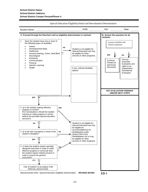Student Name: DOB: ID#: Date: **A. Proceed through the flowchart until an eligibility determination is reached. B. Answer this question for all students.** 1. Does the student have one or more of Is parent satisfied with the following types of disability? school evaluation? • Autism **no** • Developmental delay Student is not eligible for **Intellectual** Special Education but may • Sensory:Hearing, Vision, Deaf-Blind be eligible for other П **yes no** 由 services in other programs. **Neurological Emotional** Discuss **Continue Communication** Extended **Physical** forward as Evaluation and previously Specific Learning rights to an discussed. • Health If yes, indicate disability Independent type(s): **Educational** Evaluation.**KEY EVALUATION FINDINGS AND/OR NEXT STEPS** ⊡ **yes** 2. a) is the student making effective **yes** progress in school? (For reevaluations: Would the student continue to make progress in school without the provided special education services?) **no**  $\Box$  **ho**  $\Box$  **student is not eligible for** Special Education but may be eligible for accommodation(s) for 2. b) is the lack of progress a result of the **no** disability(ies) under student's disability? Section 504 of the - I Rehabilitation Act or may be eligible for other **yes** services in other programs. 2. c) does the student require specially **no** designed instruction in order to make effective progress in school **or** does the student require related services in order to access the general curriculum? 口 yes THE STUDENT IS ELIGIBLE FOR SPECIAL EDUCATION. Massachusetts DOE / Special Education Eligibility Determination - **REVISED (9/1/00) ED 1**

Special Education Eligibility/Initial and Reevaluation Determination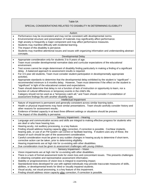#### Table 5A

## SPECIAL CONSIDERATIONS RELATED TO DISABILITY IN DETERMINING ELIGIBILITY

#### Autism

- Performance may be inconsistent and may not be consistent with developmental norms.
- Environmental structure and presentation of materials may significantly affect performance.
- High anxiety is frequently a major component and may affect performance measures.
- Students may manifest difficulty with incidental learning.
- The impact of this disability is pervasive.
- Students may manifest attentional issues and issues with organizing information and understanding abstract concepts.
- Developmental Delay • Appropriate consideration only for students 3 to 9 years of age.
- Team must consider developmental normative data and curricular expectations of the educational environment.
- Test scores cannot be single determinant of disability finding particularly in making a finding of a significant delay. A balanced approach to assessment results is required.
- For 3-5 year old students, Team must consider student participation in developmentally appropriate activities.
- Appropriate standards to determine that the developmental delay exhibited by the student is "significant" recommended minimum is 6 months delay. However, Team must determine if the effect on the student is "significant" in light of the educational context and expectations.
- Team should determine that delay is not a function of lack of instruction or opportunity to learn, nor a function of cultural differences or temporary events in the child's life.
- Category should not be used as a "temporary catch-all," and Team should consider if constellation of assessment findings fits with another disability type.

#### Intellectual Impairment

- Nature of impairment is permanent and generally consistent across similar learning tasks.
- Health or physical impairments may have similar presentations. Team should carefully consider history and other reasons for assessment results.
- Evidence of limited capacity in at least three different settings or situations should be present.
- The impact of this disability is pervasive.

### Sensory Impairment – Hearing

- Language and communication access and skills are integral to making effective progress for students who are deaf or who have hearing loss.
- Hearing acuity, not auditory processing, is a key feature.
- Finding should address hearing capacity after correction, if correction is possible. Cochlear implants, hearing aids, or use of an FM system can correct or facilitate learning. If student uses any of these, the impact of such should be part of the assessment consideration.
- Careful consideration must be given to any sudden changes in hearing acuity to determine if short-term, corrective action can be taken, prior to determining eligibility.
- Hearing impairments are at high risk for co-existing with other disabilities.
- Due consideration must be given to assessment challenges with young children.

#### Sensory Impairment – Vision

- Vision impairments are at high risk for co-existing with other disabilities.
- There is a lack of formal assessment tools for vision loss and concomitant issues. This presents challenges in obtaining complete and representative assessment information.
- Stability or progressiveness of vision loss is integral to examining impact.
- Standardized tests developed for use with sighted individuals may provide inaccurate measures of skills, abilities, or developmental levels for blind or visually impaired students.
- Visual acuity, not visual processing, is a key feature of this impairment.
- Finding should address vision capacity after correction, if correction is possible.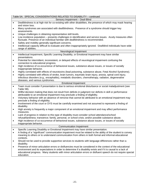#### Table 5A: SPECIAL CONSIDERATIONS RELATED TO DISABILITY – continued Sensory Impairment – Deaf-Blind • Deafblindness is at high risk for co-existing with other disabilities, the presence of which may mask hearing and vision loss. • Many syndromes are associated with deafblindness. Presence of a syndrome should trigger key assessments. Unique challenges in obtaining representative skill levels. • Low incidence population – presents challenges in identification and service issues. Acuity measures often fluctuate. Presence of an individual familiar with deafblindness is recommended. Safety and mobility generally significant concerns. • Intellectual capacity difficult to evaluate and often inappropriately ignored. Deafblind individuals have wide range of abilities. Neurological Impairment • Intellectual Impairment, Specific Learning Disability, or Emotional Impairment may have similar presentations. • Potential for intermittent, inconsistent, or delayed effects of neurological impairment confusing the connection to educational progress. • High incidence of co-occurrence of behavioral issues, substance abuse issues, or issues of socially inappropriate behavior. • Highly correlated with effects of neurotoxins (lead poisoning, substance abuse, Fetal Alcohol Syndrome). • Highly correlated with effects of stroke, brain tumors, traumatic brain injury, anoxia, spinal cord injury, infectious disorders (e.g., encephalitis), metabolic disorders, chemotherapy, radiation, degenerative diseases, and various syndromes. Emotional Impairment • Team must consider if presentation is due to serious emotional disturbance or social maladjustment (see Table 5B). • Willful decision making that does not result from deficits in judgment nor deficits in skill or performance attributable to an emotional impairment may preclude a finding of eligibility. • Voluntary behavior with an absence of remorse that cannot be attributed to an emotional impairment may preclude a finding of eligibility. • Involvement of the court or DYS must be carefully examined and not assumed to represent a finding of disability. • High anxiety is frequently a major component of an emotional impairment and may affect performance measures. • Lack of progress in relation to this type of disability must consider school attendance/school refusal/tardiness; transience; family, personal, or school crisis; and/or possible substance abuse. • High incidence of co-occurrence of behavioral issues, substance abuse issues, or issues of socially inappropriate behavior. Communication Impairment • Specific Learning Disability or Emotional Impairment may have similar presentation. • A finding of a "significant" communication impairment must be related to the ability of the student to convey meaning to others or to understand communication from others in both formal and informal educational contexts. • Should not be used to provide supportive services to students with language differences rather than a disability. • Presence of minor articulation errors or disfluencies must be considered in the context of the educational environment and its expectations in order to determine if a disability exists and if it is causal to a lack of educational progress. Many students with minor articulation errors or disfluent speech do not require special education.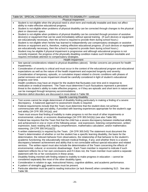# Table 5A: SPECIAL CONSIDERATIONS RELATED TO DISABILITY - continued

#### Physical Impairment

- Student is not eligible when the physical need is short term and medically treatable and does not affect ability to make effective educational progress. • Student is not eligible when problems of physical disability can be corrected through changes to the physical plant or classroom space. • Student is not eligible when problems of physical disability can be corrected through provision of assistive device(s) or equipment that can be used immediately without special training. (If such devices or equipment are educationally necessary, then the school is required to provide them during school hours.) • Student is not eligible when he/she has learned to independently use compensatory strategies or assistive devices or equipment and is, therefore, making effective educational progress. (If such devices or equipment are educationally necessary, then the school is required to provide them during school hours.) • Student may be eligible if physical impairment is progressive and although educational progress is not currently impaired, the progress of the physically disabling condition makes such limitation inevitable and requires immediate attention to compensatory strategies. Health Impairment • See special considerations related to physical disabilities (above). Similar concerns are present for health impairments. • Consideration of severity is critical and must occur in the context of the educational program and educational expectations as well as the nature of the health impairment and expected longevity and severity. • Consideration of temporary, episodic, or cumulative impact related to chronic conditions with phases of partial remission and acute impairment should be carefully considered in light of student's educational progress over time. • Health conditions may have an impact for the student that fluctuates over time and in response to medication or medical treatment. The Team must determine if such fluctuations represent a persistent threat to the student's ability to make effective progress, or if they are episodic and short term in nature and can be managed through temporary accommodations. • Attention deficit disorders are discussed in more detail in Table 5B. Specific Learning Disability • Test scores cannot be single determinant of disability finding particularly in making a finding of a severe discrepancy. A balanced approach to assessment results is required. • Federal requirements include that the Team must determine that the student does not achieve commensurate with age and ability, if provided with learning experiences appropriate for the student's age and ability (34 CFR 300.341(a)); and • Team must ensure that finding of inability to make progress is not the result of other impairments or environmental, cultural, or economic disadvantage (34 CFR 300.541(b)) (see also Table 5B). • Federal law requires that the Team find that the child has a severe discrepancy between intellectual ability and achievement in one or more of the following areas: oral expression, listening comprehension, written expression, basic reading skill, reading comprehension, mathematics calculation, and/or mathematics reasoning. (34 CFR 300.541(a)(2)) • A written statement(s) is required by the Team. (34 CFR 300.543) The statement must document the Team's determination of whether or not the student has a specific learning disability, the basis for the determination, the relevant behavior from observations, the relationship of that behavior to the student's academic functioning; the educationally relevant medical findings, if any; and whether there is a severe discrepancy between achievement and ability that is not correctable without special education and related services. The written report must also include the determination of the Team concerning the effects of environmental, cultural, or economic disadvantage. Each Team member is required to indicate if such statement reflects his or her own conclusions and if it does not, the Team member must submit a separate statement with his or her conclusions in these areas. • Disability finding meshed with finding related to inability to make progress in education – cannot be considered separately like most of the other disability types. • Consideration in relation to age, instructional history, cognitive abilities, and academic performance. • A pattern of strengths and weaknesses must be present.
	- Particular attention must be paid to reading instruction (or lack thereof) when considering SLD. See also Table 5B.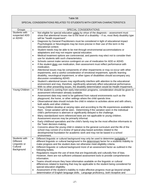#### Table 5B SPECIAL CONSIDERATIONS RELATED TO STUDENTS WITH CERTAIN CHARACTERISTICS Groups | SPECIAL CONSIDERATIONS Students with suspected ADD or ADHD • Not eligible for special education solely by virtue of the diagnosis – assessment must show that attentional issues rise to the level of a disability  $-$  if so, most likely disability type will be "health impairment". • Diagnosis by General Practitioners must be considered in light of educational impact Psychologists or Neurologists may be more precise in their use of this term in the educational context. • Student needs may be able to be met through environmental accommodations or adaptations and may not require special education. • Medical treatment options are controversial, and parents may elect not to consider their use for students with such characteristics. • Schools cannot make service contingent on use of medication for ADD or ADHD. • If the student does use medication, then assessment must reflect performance with medication. • Attentional issues may be components of other impairments or may co-occur with other impairments, and a careful consideration of emotional impairment, specific learning disability, neurological impairment, or other types of disabilities should accompany any discussion considering ADHD. • Student's attentional issues may significantly interfere with attention to the educational environment and may, therefore, significantly adversely affect educational performance. With no other presenting issues, the disability determination would be Health Impairment. Young Children  $\bullet$  If the student is coming from early intervention programs, consideration should be given to assessment information already available. • Assessment data may need to be gathered from natural environments such as the playground, the home, or other settings where the child spends time. • Observational data should include the child in relation to activities alone and with others, both adults and other children. • Young children develop at varying rates and according to the life experiences available to them. Great variation will be seen. Determining if the variation seen in the individual child's performance is aberrant or significantly delayed is the challenge. • Many standardized norm referenced tests are not applicable to young children. Assessment sources may be primarily informal. • Early childhood specialists and the child's family may be the most effective informants to the Team decision-making. • Concerns about the young child in relation to the general curriculum and the life of the school may consist of a review of typical play-based activities related to the developmental foundation for academic work and may not be based in a school environment. Students with **Different** Linguistic or **Cultural Background** • Different linguistic or cultural background may only be used to determine ineligibility if different linguistic or cultural background is the determinant factor for a students inability to make progress and the student does not otherwise meet eligibility criteria. • Different linguistic or cultural background more of an assessment factor as outlined in the following bullets. • Regulations require the use of tests that are linguistically and culturally free of bias. However, there are not sufficient unbiased assessment tools to provide comprehensive information. • Teams should ensure they have information available on the linguistic or cultural differences related to learning that may be applicable to the student being considered for special education eligibility. • Assessment of the student's inability to make effective progress must go beyond simple determination of English language skills. Language proficiency, both receptive and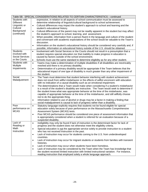|                         | Table 5B: SPECIAL CONSIDERATIONS RELATED TO CERTAIN CHARACTERISTICS - continued                                                                                                                    |
|-------------------------|----------------------------------------------------------------------------------------------------------------------------------------------------------------------------------------------------|
| Students with           | expressive, in relation to all aspects of school communication must be assessed to                                                                                                                 |
| <b>Different</b>        | determine relationship of linguistic/cultural background to school achievement.                                                                                                                    |
| Linguistic or           | Cultural differences may impact the student's approach to school and learning and the<br>$\bullet$                                                                                                 |
| Cultural                | student's educational history.                                                                                                                                                                     |
| Background              | Cultural differences of the parent may not be readily apparent in the student but may affect<br>$\bullet$                                                                                          |
| (continued)             | the student's approach to school, learning, and assessment.                                                                                                                                        |
|                         | When possible, information from a person fluent in the language and culture of the student<br>$\bullet$                                                                                            |
|                         | and conversant with academic expectations of the school would be valuable to the Team's                                                                                                            |
|                         | discussion.                                                                                                                                                                                        |
|                         | Information on the student's educational history should be considered very carefully and, if<br>$\bullet$                                                                                          |
|                         | possible, information on educational history outside of the U.S. should be obtained.                                                                                                               |
| <b>Students</b>         | Involvement with Social Services or the Courts should not result in a presumption that a<br>$\bullet$                                                                                              |
| involved with           | student requires special education nor that inability to make progress in education is                                                                                                             |
| <b>Social Services</b>  | caused by factors outside of the school environment.                                                                                                                                               |
| or the Courts           | Schools must use the same standard to determine eligibility as for any other student.<br>$\bullet$                                                                                                 |
| Students with           | Teams may make a determination of multiple disabilities if all disabilities are inextricably<br>$\bullet$                                                                                          |
| Multiple<br>Impairments | meshed and there is no primary disability.                                                                                                                                                         |
|                         | Determination of a primary disability would be appropriate if the Team believes that the<br>$\bullet$<br>educational impact of one type of disability is much greater than any other impairment of |
|                         | the student.                                                                                                                                                                                       |
| Social                  | The Team must determine that student behavior interfering with student achievement<br>$\bullet$                                                                                                    |
| Maladjustment           | does not result from willful misbehavior or the effects of willful unconcern with education                                                                                                        |
|                         | with no indication of a causal disability such as an emotional impairment.                                                                                                                         |
|                         | The determinations that a Team would make when considering if a student's misbehavior<br>$\bullet$                                                                                                 |
|                         | is a result of the student's disability are instructive. The Team would seek to determine if                                                                                                       |
|                         | the student knew what was appropriate behavior at the time of the misbehavior, was                                                                                                                 |
|                         | capable of appropriate behavior at the time of the misbehavior, and still willfully choose                                                                                                         |
|                         | not to do the appropriate thing.                                                                                                                                                                   |
|                         | Information related to use of alcohol or drugs may be a factor in making a finding that<br>$\bullet$                                                                                               |
|                         | social maladjustment is causal to lack of progress rather than a disability.                                                                                                                       |
| Poor                    | Statutory language explicitly requires that students not be found eligible for special<br>$\bullet$                                                                                                |
| performance on          | education solely because of poor performance on the Massachusetts Comprehensive                                                                                                                    |
| <b>MCAS</b>             | Assessment System (MCAS) tests.                                                                                                                                                                    |
|                         | Poor MCAS performance should be considered one piece of assessment information that<br>$\bullet$                                                                                                   |
|                         | is appropriately considered when a student is referred for an evaluation because of a                                                                                                              |
|                         | suspected disability.                                                                                                                                                                              |
| Lack of                 | Ineligibility may only be found if lack of instruction is the determinant factor for lack of<br>$\bullet$                                                                                          |
| Reading or<br>Math      | progress and the student does not otherwise meet the eligibility criteria.                                                                                                                         |
| Instruction             | Special education is not the appropriate service solely to provide instruction to a student<br>٠<br>who has not received instruction in the past.                                                  |
|                         | Lack of instruction may occur for students coming to the U.S. from underdeveloped                                                                                                                  |
|                         | $\bullet$<br>countries.                                                                                                                                                                            |
|                         | Lack of instruction may occur for migrant students or students from families with transient<br>٠                                                                                                   |
|                         | histories.                                                                                                                                                                                         |
|                         | Lack of instruction may occur when students have been homeless.                                                                                                                                    |
|                         | Lack of instruction may be considered by the Team when the Team has knowledge that<br>$\bullet$                                                                                                    |
|                         | the student received limited instruction with limited instructional variation. For instance,                                                                                                       |
|                         | reading instruction that employed solely a whole language approach.                                                                                                                                |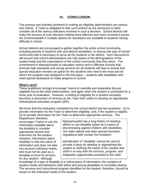# **VI. CONCLUSION**

The process and activities pertinent to making an eligibility determination are serious and critical. A Team is obligated to take such actions as are necessary to fairly consider all of the various indicators involved in such a decision. School districts will make the process of such decision-making more effective and more consistent across the Commonwealth if multiple options for assistance are available to students having difficulty in school.

School districts are encouraged to gather together the entire school community, including parents of students with and without disabilities, to discuss the type of school community that is necessary to serve all the students in the district. Such discussions will ensure that school administrators are fully aware of the demographics of the student body and the expectations of the school community that they serve. The commitment in Massachusetts to education reform and to effective schools that promote high standards and strong services for all students will help to ensure that special education remains an option for the students who need it the most and for whom the program was designed in the first place – students with disabilities who need special assistance to make progress in school.

# **What's next?**

These guidelines strongly encourage Teams to carefully and separately discuss eligibility first at the initial determination, and again when the student is scheduled for a three year re-evaluation. However, a finding of eligibility for a student inevitably becomes a discussion of services as the Team then seeks to develop an appropriate individualized education program (IEP).

We know that the evaluation completed by the school district has two purposes: (1) to provide information for the Team to determine eligibility; and, if the student is eligible, (2) to provide information for the Team to determine appropriate services. The

Department, therefore, encourages Teams to use the information available about the disability to consider appropriate service and instruction for the student. However, information about disability is only one piece of information and does not take into account individual needs, and must not be used as a template to force-fit services for any student. Although

Massachusetts has a long history of resisting efforts to use disability labels as a means of discriminating against children with disabilities. Our state statute and state special education regulations both contain this limitation:

*Identification of "disability" cannot be used to provide a basis for labeling or stigmatizing the student or defining the needs of the student and shall in no way limit the services, program, and integration opportunities provided to the child.*

knowledge of a type of disability is a critical piece of information, the variation of student needs and behaviors both within and among disabilities is incredibly diverse. The services and instructional program identified for the student, therefore, should be based on the individual needs of the student.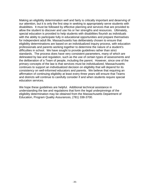Making an eligibility determination well and fairly is critically important and deserving of our attention, but it is only the first step in seeking to appropriately serve students with disabilities. It must be followed by effective planning and services that are provided to allow the student to discover and use his or her strengths and resources. Ultimately, special education is provided to help students with disabilities flourish as individuals with the ability to participate fully in educational opportunities and prepare themselves for independent adult life. Massachusetts has deliberately chosen to ensure that eligibility determinations are based on an individualized inquiry process, with education professionals and parents working together to determine the nature of a student's difficulties in school. We have sought to provide guidelines rather than strict standards. The process does have very consistent parameters, many of which are delineated by law and regulation, such as the use of certain types of assessments and the deliberation of a Team of people, including the parent. However, since one of the primary concepts of the law is that services must be individualized, Massachusetts continues to support an individualized decision on eligibility that will depend for its consistency on well-informed educators and parents. We believe that requiring an affirmation of continuing eligibility at least every three years will ensure that Teams and districts will continue to carefully consider if and when students require special education services.

We hope these guidelines are helpful. Additional technical assistance in understanding the law and regulations that form the legal underpinnings of the eligibility determination may be obtained from the Massachusetts Department of Education, Program Quality Assurances, (781) 338-3700.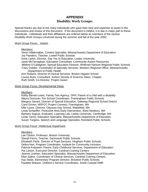# **APPENDIX Disability Work Groups:**

Special thanks are due to the many individuals who gave their time and expertise to assist in the discussions and review of this document. If the document is helpful, it is due in major part to these individuals. Individuals and their affiliations are ordered below as members of the various Disability Work Groups convened during the summer and fall of the year 2000.

## Work Group Focus: Autism

## Members:

Veron Allalemdjian, Content Specialist, Massachusetts Department of Education Joy Flanders, Teacher, Lowell Public Schools Anne Larkin, Director, Say Yes to Education, Lesley University Janet McTarnaghan, Education Consultant, Community Autism Resources Mildred O'Callaghan, Special Education Director, Whitman-Hanson Regional Public Schools Tracy Osbahr, Coordinator of Specialty Services, Western Regional Office, Massachusetts Department of Public Health Ann Roberts, Director of Clinical Services, Boston-Higashi School Louise Ross, Consultant, Autism Society of America- Mass. Chapter

Ruth Smith, Co-Director, Project Aware

## Work Group Focus: Developmental Delay

## **Members**

Kathy Barrett-Lewis, Family Ties Agency, DPH; Parent of a child with a disability Maura Donovan, Pre-School Coordinator, Framingham Public Schools Margery Gerard, Director of Special Education, Gateway Regional School District Carol Grimm, MSPCC Project Connect, Framingham, MA Ellie Lyons, Director, Odyssey Day School, Wakefield, MA Linda Schaeffer, Pentucket Area Early Intervention, West Newbury, MA Barbara Sugrue, Evaluator, Learning Lab, Lesley University, Cambridge, MA Linda Tarmy, Education Specialist, Massachusetts Department of Education Susan Turgess, Speech and Language Specialist, Rockland Public Schools

## Work Group Focus: Intellectual Impairment

## **Members**

Lee Clinton, Professor, Boston University Sheryll Ferris, Teacher, Dartmouth Public Schools Elizabeth Fishe, Director of Pupil Services, Hingham Public Schools Debra Hart, Program Coordinator, Institute for Community Inclusion Patricia Knipstein, Parent, Early Childhood Services, Department of Education Pat Larson, Executive Director, Cardinal Cushing Centers Jeanne Linehan, Education Specialist, Massachusetts Department of Education Ellyn Salkin, Coordinator of Clinical Services, Cardinal Cushing Centers Kay Seale, Elementary Program Director, Brockton Public Schools Paulette Watson, Children's Service Coordinator, South Coastal DMR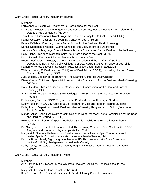Work Group Focus: Sensory Impairment-Hearing

**Members** 

Louis Abbate, Executive Director, Willie Ross School for the Deaf

- Liz Banta, Director, Case Management and Social Services, Massachusetts Commission for the Deaf and Hard of Hearing (MCDHH),
- Terrell Clark, Director of Clinical Programs, Children<sup>1</sup>s Hospital Medical Center (CHMC)

Patrick Costello, Teacher, The Learning Center for Deaf Children

Patrice DiNatale, Principal, Horace Mann School for the Deaf and Hard of Hearing

Dennis Djerdigen, President, Clarke School for the Deaf, parent of a Deaf child

- Jeannine Dusombre, Legal Council, Massachusetts Commission for the Deaf and Hard of Hearing
- Holly Elkins, President, Massachusetts State Association of the Deaf (MSAD)
- David Farwell, Executive Director, Beverly School for the Deaf

Robert Hoffmeister, Director, Center for Communication and the Deaf, Deaf Studies Department, Boston University, Child(ren) of Deaf Adults (CODA), parent of a Deaf child Katherine Honey, Education Specialist, Massachusetts Department of Education

William Huston, 37 Deaf relatives, Child(ren) of Deaf Adults (CODA), counselor, Northern Essex Community College (NECC)

Judy Jacobs, Director of Programming, The Learning Center for Deaf Children

- Diane Krause, Children's Specialist, Massachusetts Commission for the Deaf and Hard of Hearing (MCDHH)
- Isabel Lyndon, Children's Specialist, Massachusetts Commission for the Deaf and Hard of Hearing (MCDHH)
- Alan Marvelli, Program Director, Smith College/Clarke School for the Deaf Teacher Education Program
- Ed Mulligan, Director, EDCO Program for the Deaf and Hard of Hearing in Newton
- Evelyn Rankin, R.E.A.D.S. Collaborative Program for Deaf and Hard of Hearing Students
- Kathy Russo, Department Head, Deaf and Hard of Hearing Program, A.L.L School, Worcester Public Schools
- Marvin Sallop, Special Assistant to Commissioner Wood, Massachusetts Commission for the Deaf and Hard of Hearing (MCDHH)
- Howard Shane, Director of Speech Pathology Services, Children<sup>1</sup>s Hospital Medical Center (CHMC)
- Pat Slate, parent of deaf child who attended The Learning Center for Deaf Children, the EDCO Program, and is now in college in upstate New York
- Margaret A. Sunners, Federation for Children with Special Needs, Sped Trainer (contract basis), Special Education Advocate, parent of a hard of hearing child
- Kendra Timko, Family Sign Language Program (FSLP), Massachusetts State Association of the Deaf (MSAD), third generation deaf in deaf family
- Kathy Vesey, Director, Gallaudet University Regional Center at Northern Essex Community **College**

# Work Group Focus: Sensory Impairment-Vision

**Members** 

Ann Barber, M.Ed., Teacher of Visually Impaired/O&M Specialist, Perkins School for the **Blind** 

Mary Beth Caruso, Perkins School for the Blind

Kim Charlson, MLS, Chair, Massachusetts Braille Literacy Council, consumer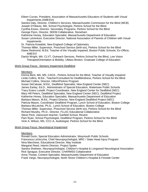Eileen Curran, President, Association of Massachusetts Educators of Students with Visual Impairments (AMESVI)

Sandra Daly, Director, Children's Services, Massachusetts Commission for the Blind (MCB) Joseph D'Ottavio, MA, School Psychologist, Perkins School for the Blind

Cynthia Essex, Director, Secondary Programs, Perkins School for the Blind

George Flynn, Director, SEEM Collaborative, Stoneham

Katherine Honey, Education Specialist, Massachusetts Department of Education

- Susan LaVenture, Executive Director, National Association of Parents of Children with Visual Impairments
- Dr. Patricia Kowalski, New England College of Optometry
- Thomas Miller, Supervisor, Preschool Service (birth-six), Perkins School for the Blind
- Diane Redmond, M.Ed. Teacher of the Visually Impaired, Boston Public Schools, Ex-Officio, AMESVI
- Darick Wright, MA, CLVT, Outreach Services, Perkins School for the Blind, Low Vision Therapist/Orientation & Mobility, UMass Boston, Graduate College of Education

# Work Group Focus: Sensory Impairment-Deafblind

## Members

Donna Bent, MA, MS, CAGS., Perkins School for the Blind, Teacher of Visually Impaired Linda Collins, M.Ed., Teacher/Consultant for Deafblindness, Perkins School for the Blind Michael Collins, Director, Hilton/Perkins Program

Susan DeCaluwe, M.Ed., Deafblind Specialist, New England Center (NEC) James Earley, Ed.D., Administrator of Special Education, Watertown Public Schools Tracy Evans Luiselli, Project Coordinator, New England Center for Deafblind (NEC) Mary Hill Peters, Deafblind Specialist, New England Center (NEC), Deafblind Project Katherine Honey, Education Specialist, Massachusetts Department of Education Barbara Mason, M.Ed., Project Director, New England Deafblind Project (NEC) Patricia Mason, Coordinator Deafblind Program, Lynch School of Education, Boston College Barbara McLetchie, Ph.D., Lynch School of Education, Boston College Thomas Miller, Supervisor, Preschool Service (birth-six), Perkins School for the Blind Richard Murphy, Ph.D., Director, FLLAC Educational Collaborative Steve Peck, classroom teacher, Garfield School, Revere Pam Ryan, School Psychologist, Deafblind Program, Perkins School for the Blind Vicki A. Wilson, MS, CCC-A, Audiologist, Perkins School for the Blind

## Work Group Focus: Neurological Impairment

## **Members**

Ronald Gorin, Special Education Administrator, Weymouth Public Schools Francesca LaVecchia, Chief Neuropsychologist, MRC / State Head Injury Program Nina Marchese, Educational Director, May Institute Margaret Reed, Interim Director, Project Spoke Sandra Shaheen, Neuropsychologist, Children's Hospital & Longwood Neurological Association Rick Sprague, Executive Director, CHARMSS Collaborative Anna Thorpe, Content Specialist, Massachusetts Department of Education Frank Vargo, Neuropsychologist, North Shore Children's Hospital & Fireside Center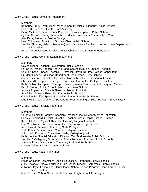## Work Group Focus: Emotional Impairment

## **Members**

Katherine Brady, Instructional Management Specialist, Fitchburg Public Schools Bonnie K. Culhane, Director, Farr Academy Diana Minton, Director of Pupil Personnel Services, Ipswich Public Schools Cynthia Nicholls, Family Research Coordinator, Worcester Community of Care Alec Peck, Professor, Boston College Leah Thibodeau, Director of Studies, Chamberlain School Jennifer Thomas, Liaison, Program Quality Assurance Services, Massachusetts Department of Education Anna Thorpe, Content Specialist, Massachusetts Department of Education

## Work Group Focus: Communication Impairment

## Members

Davida Bloom, Teacher, Foxborough Public Schools Pat Calley, Mass. Speech-Hearing-Language Association, Speech Therapist Valerie Chase, Speech Therapist, Professor, Fitchburg State College, Consultant Dr. Mary Connor, Education Department Chairperson, Curry College Jeanne Linehan, Education Specialist, Massachusetts Department of Education Christine Miller, Speech Therapist, Professor, Assumption College, Consultant Kathy S. Murphy, Speech Therapist, Developmental Team, Harvard Vanguard Medical Karl Pulkkinen, Public School Liaison, Landmark School Andrea Roynestad, Speech Therapist, Morton Hospital Sue Silver, Speech Therapist, Sharon Public Schools Catherine Stauffer, Special Education Director, Lee Public Schools Linda Weissman, Director of Student Services, Farmington River Regional School District

## Work Group Focus: Physical Impairment

## **Members**

Veron Allalemdjian, Content Specialist, Massachusetts Department of Education Shelley Blanchard, Special Education Teacher, Mass Hospital School, Canton Karen Chaffee, Physical Therapist, Gateway Regional Schools Lisa Goldthwaite, Inclusion Facilitator, Newton North High School Ann Howard, Professor, Fitchburg State College Todd Kates, Director United Cerebral Palsy Association John Keck, Education Consultant, Lesley College Adjunct Kathy Levine, Special Education Director, East Bridgewater Public Schools Jennifer O'Callaghan, Occupational Therapist Intern, Rockland Public Schools Joyce Sullivan, Occupational Therapist, Rockland Public Schools Michael Talbot, Director, Cotting Schools

## Work Group Focus: Health Impairment

## **Members**

Leslie Codianne, Director of Special Education, Cambridge Public Schools Judy Devaney, Special Education High School Teacher, Barnstable Public Schools Julianne Doyle, Educational Consultant in School Liaison Program, Dana-Farber Cancer Institute, Boston

Mary Fischer, School Nurse, Keefe Technical High School, Framingham